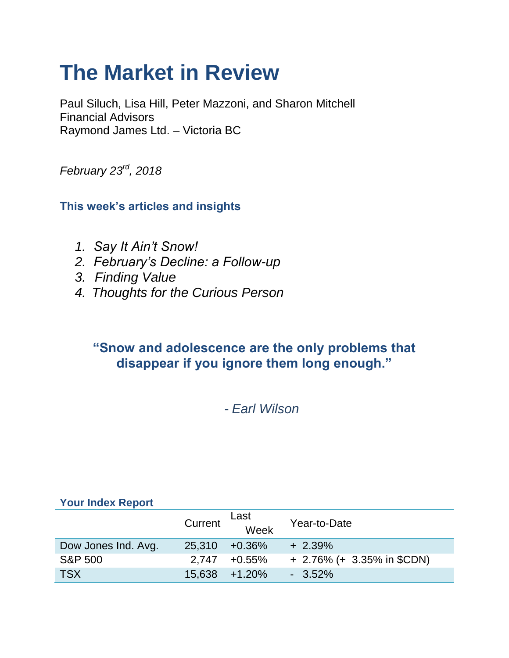# **The Market in Review**

Paul Siluch, Lisa Hill, Peter Mazzoni, and Sharon Mitchell Financial Advisors Raymond James Ltd. – Victoria BC

*February 23rd, 2018*

**This week's articles and insights**

- *1. Say It Ain't Snow!*
- *2. February's Decline: a Follow-up*
- *3. Finding Value*
- *4. Thoughts for the Curious Person*

# **"Snow and adolescence are the only problems that disappear if you ignore them long enough."**

- *Earl Wilson*

### **Your Index Report**

|                     | Current | Last<br>Week     | Year-to-Date                 |
|---------------------|---------|------------------|------------------------------|
| Dow Jones Ind. Avg. | 25,310  | +0.36%           | $+2.39\%$                    |
| <b>S&amp;P 500</b>  |         | $2.747 + 0.55\%$ | $+$ 2.76% (+ 3.35% in \$CDN) |
| <b>TSX</b>          |         | 15.638 +1.20%    | $-3.52\%$                    |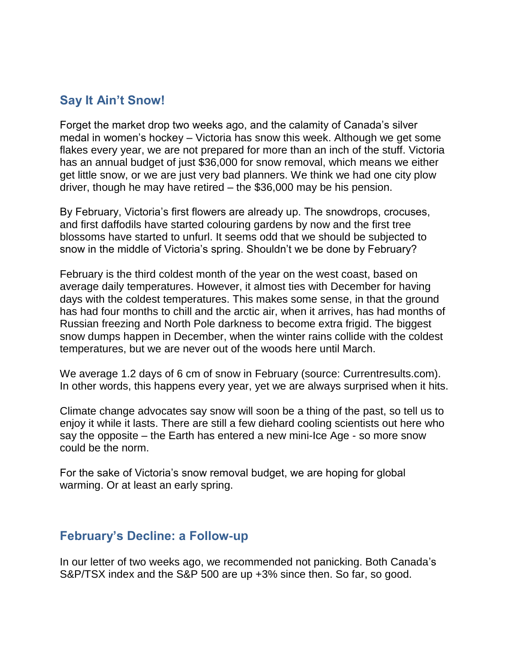# **Say It Ain't Snow!**

Forget the market drop two weeks ago, and the calamity of Canada's silver medal in women's hockey – Victoria has snow this week. Although we get some flakes every year, we are not prepared for more than an inch of the stuff. Victoria has an annual budget of just \$36,000 for snow removal, which means we either get little snow, or we are just very bad planners. We think we had one city plow driver, though he may have retired – the \$36,000 may be his pension.

By February, Victoria's first flowers are already up. The snowdrops, crocuses, and first daffodils have started colouring gardens by now and the first tree blossoms have started to unfurl. It seems odd that we should be subjected to snow in the middle of Victoria's spring. Shouldn't we be done by February?

February is the third coldest month of the year on the west coast, based on average daily temperatures. However, it almost ties with December for having days with the coldest temperatures. This makes some sense, in that the ground has had four months to chill and the arctic air, when it arrives, has had months of Russian freezing and North Pole darkness to become extra frigid. The biggest snow dumps happen in December, when the winter rains collide with the coldest temperatures, but we are never out of the woods here until March.

We average 1.2 days of 6 cm of snow in February (source: Currentresults.com). In other words, this happens every year, yet we are always surprised when it hits.

Climate change advocates say snow will soon be a thing of the past, so tell us to enjoy it while it lasts. There are still a few diehard cooling scientists out here who say the opposite – the Earth has entered a new mini-Ice Age - so more snow could be the norm.

For the sake of Victoria's snow removal budget, we are hoping for global warming. Or at least an early spring.

## **February's Decline: a Follow-up**

In our letter of two weeks ago, we recommended not panicking. Both Canada's S&P/TSX index and the S&P 500 are up +3% since then. So far, so good.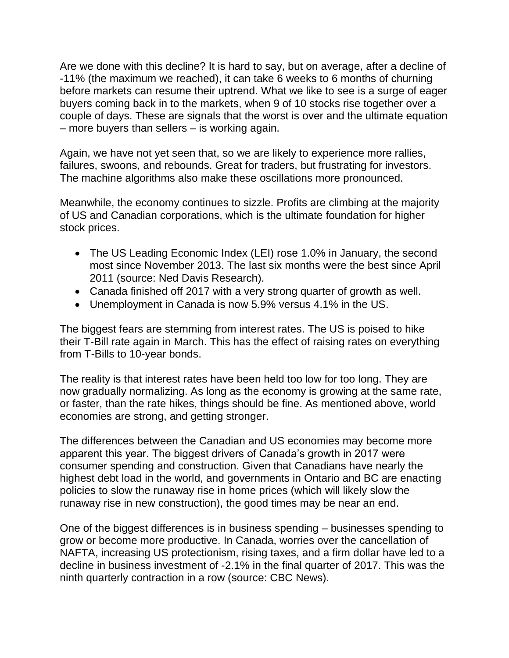Are we done with this decline? It is hard to say, but on average, after a decline of -11% (the maximum we reached), it can take 6 weeks to 6 months of churning before markets can resume their uptrend. What we like to see is a surge of eager buyers coming back in to the markets, when 9 of 10 stocks rise together over a couple of days. These are signals that the worst is over and the ultimate equation – more buyers than sellers – is working again.

Again, we have not yet seen that, so we are likely to experience more rallies, failures, swoons, and rebounds. Great for traders, but frustrating for investors. The machine algorithms also make these oscillations more pronounced.

Meanwhile, the economy continues to sizzle. Profits are climbing at the majority of US and Canadian corporations, which is the ultimate foundation for higher stock prices.

- The US Leading Economic Index (LEI) rose 1.0% in January, the second most since November 2013. The last six months were the best since April 2011 (source: Ned Davis Research).
- Canada finished off 2017 with a very strong quarter of growth as well.
- Unemployment in Canada is now 5.9% versus 4.1% in the US.

The biggest fears are stemming from interest rates. The US is poised to hike their T-Bill rate again in March. This has the effect of raising rates on everything from T-Bills to 10-year bonds.

The reality is that interest rates have been held too low for too long. They are now gradually normalizing. As long as the economy is growing at the same rate, or faster, than the rate hikes, things should be fine. As mentioned above, world economies are strong, and getting stronger.

The differences between the Canadian and US economies may become more apparent this year. The biggest drivers of Canada's growth in 2017 were consumer spending and construction. Given that Canadians have nearly the highest debt load in the world, and governments in Ontario and BC are enacting policies to slow the runaway rise in home prices (which will likely slow the runaway rise in new construction), the good times may be near an end.

One of the biggest differences is in business spending – businesses spending to grow or become more productive. In Canada, worries over the cancellation of NAFTA, increasing US protectionism, rising taxes, and a firm dollar have led to a decline in business investment of -2.1% in the final quarter of 2017. This was the ninth quarterly contraction in a row (source: CBC News).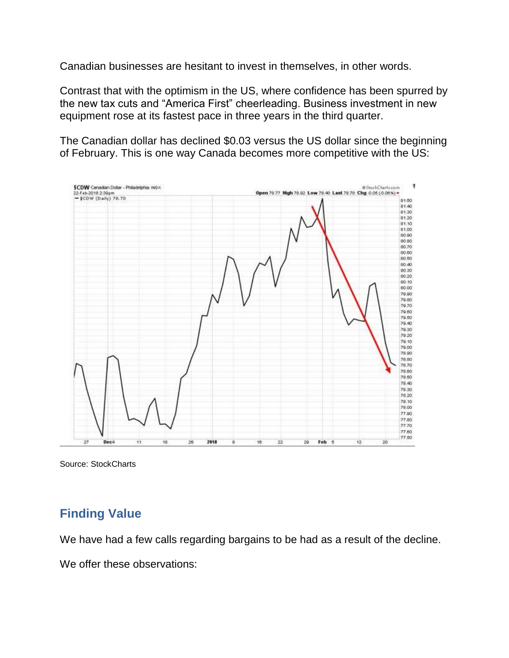Canadian businesses are hesitant to invest in themselves, in other words.

Contrast that with the optimism in the US, where confidence has been spurred by the new tax cuts and "America First" cheerleading. Business investment in new equipment rose at its fastest pace in three years in the third quarter.

The Canadian dollar has declined \$0.03 versus the US dollar since the beginning of February. This is one way Canada becomes more competitive with the US:



Source: StockCharts

# **Finding Value**

We have had a few calls regarding bargains to be had as a result of the decline.

We offer these observations: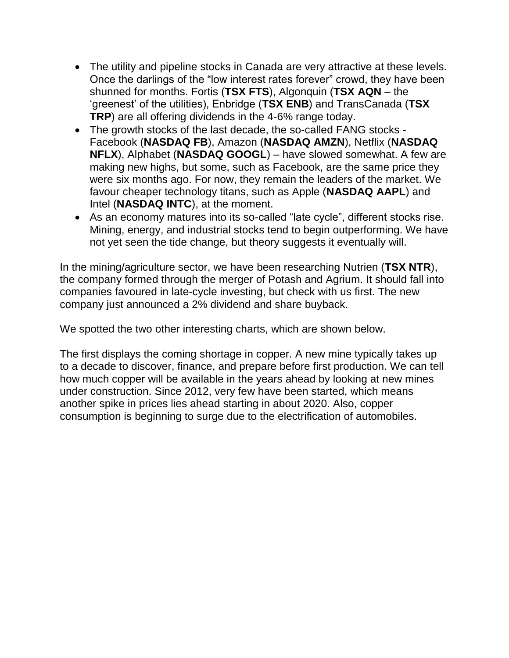- The utility and pipeline stocks in Canada are very attractive at these levels. Once the darlings of the "low interest rates forever" crowd, they have been shunned for months. Fortis (**TSX FTS**), Algonquin (**TSX AQN** – the 'greenest' of the utilities), Enbridge (**TSX ENB**) and TransCanada (**TSX TRP**) are all offering dividends in the 4-6% range today.
- The growth stocks of the last decade, the so-called FANG stocks Facebook (**NASDAQ FB**), Amazon (**NASDAQ AMZN**), Netflix (**NASDAQ NFLX**), Alphabet (**NASDAQ GOOGL**) – have slowed somewhat. A few are making new highs, but some, such as Facebook, are the same price they were six months ago. For now, they remain the leaders of the market. We favour cheaper technology titans, such as Apple (**NASDAQ AAPL**) and Intel (**NASDAQ INTC**), at the moment.
- As an economy matures into its so-called "late cycle", different stocks rise. Mining, energy, and industrial stocks tend to begin outperforming. We have not yet seen the tide change, but theory suggests it eventually will.

In the mining/agriculture sector, we have been researching Nutrien (**TSX NTR**), the company formed through the merger of Potash and Agrium. It should fall into companies favoured in late-cycle investing, but check with us first. The new company just announced a 2% dividend and share buyback.

We spotted the two other interesting charts, which are shown below.

The first displays the coming shortage in copper. A new mine typically takes up to a decade to discover, finance, and prepare before first production. We can tell how much copper will be available in the years ahead by looking at new mines under construction. Since 2012, very few have been started, which means another spike in prices lies ahead starting in about 2020. Also, copper consumption is beginning to surge due to the electrification of automobiles.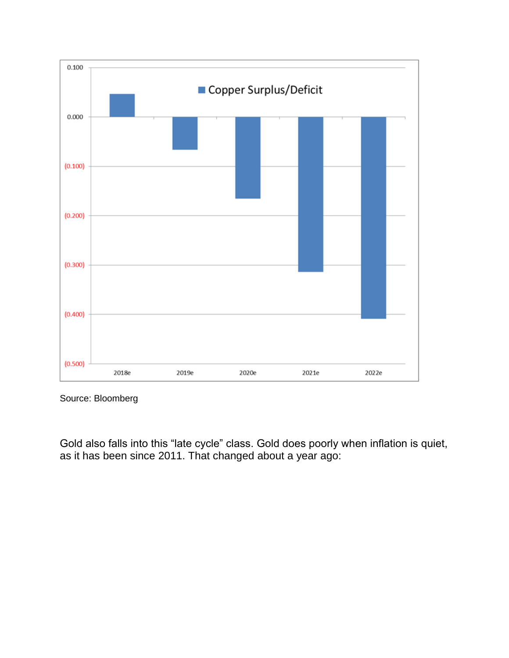

Source: Bloomberg

Gold also falls into this "late cycle" class. Gold does poorly when inflation is quiet, as it has been since 2011. That changed about a year ago: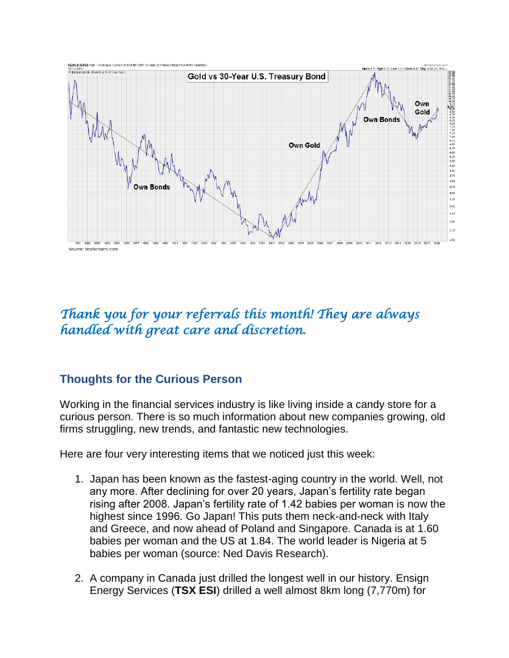

# *Thank you for your referrals this month! They are always handled with great care and discretion.*

## **Thoughts for the Curious Person**

Working in the financial services industry is like living inside a candy store for a curious person. There is so much information about new companies growing, old firms struggling, new trends, and fantastic new technologies.

Here are four very interesting items that we noticed just this week:

- 1. Japan has been known as the fastest-aging country in the world. Well, not any more. After declining for over 20 years, Japan's fertility rate began rising after 2008. Japan's fertility rate of 1.42 babies per woman is now the highest since 1996. Go Japan! This puts them neck-and-neck with Italy and Greece, and now ahead of Poland and Singapore. Canada is at 1.60 babies per woman and the US at 1.84. The world leader is Nigeria at 5 babies per woman (source: Ned Davis Research).
- 2. A company in Canada just drilled the longest well in our history. Ensign Energy Services (**TSX ESI**) drilled a well almost 8km long (7,770m) for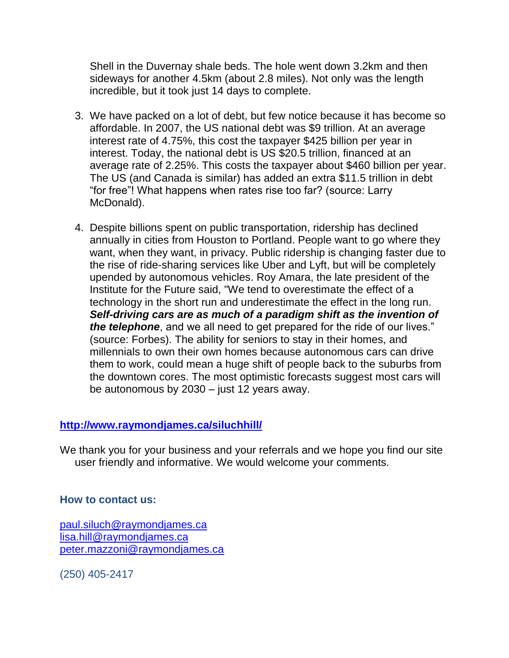Shell in the Duvernay shale beds. The hole went down 3.2km and then sideways for another 4.5km (about 2.8 miles). Not only was the length incredible, but it took just 14 days to complete.

- 3. We have packed on a lot of debt, but few notice because it has become so affordable. In 2007, the US national debt was \$9 trillion. At an average interest rate of 4.75%, this cost the taxpayer \$425 billion per year in interest. Today, the national debt is US \$20.5 trillion, financed at an average rate of 2.25%. This costs the taxpayer about \$460 billion per year. The US (and Canada is similar) has added an extra \$11.5 trillion in debt "for free"! What happens when rates rise too far? (source: Larry McDonald).
- 4. Despite billions spent on public transportation, ridership has declined annually in cities from Houston to Portland. People want to go where they want, when they want, in privacy. Public ridership is changing faster due to the rise of ride-sharing services like Uber and Lyft, but will be completely upended by autonomous vehicles. Roy Amara, the late president of the Institute for the Future said, "We tend to overestimate the effect of a technology in the short run and underestimate the effect in the long run. *Self-driving cars are as much of a paradigm shift as the invention of the telephone*, and we all need to get prepared for the ride of our lives." (source: Forbes). The ability for seniors to stay in their homes, and millennials to own their own homes because autonomous cars can drive them to work, could mean a huge shift of people back to the suburbs from the downtown cores. The most optimistic forecasts suggest most cars will be autonomous by 2030 – just 12 years away.

#### **<http://www.raymondjames.ca/siluchhill/>**

We thank you for your business and your referrals and we hope you find our site user friendly and informative. We would welcome your comments.

#### **How to contact us:**

[paul.siluch@raymondjames.ca](https://owa-kel.raymondjames.ca/owa/redir.aspx?SURL=z0BxOCXDlQ-Aad1f_a9igaARxm5Rd1VXE7UcmD4mZ3IZiacj7DPTCG0AYQBpAGwAdABvADoAcABhAHUAbAAuAHMAaQBsAHUAYwBoAEAAcgBhAHkAbQBvAG4AZABqAGEAbQBlAHMALgBjAGEA&URL=mailto%3apaul.siluch%40raymondjames.ca) [lisa.hill@raymondjames.ca](https://owa-kel.raymondjames.ca/owa/redir.aspx?SURL=glaBgdTdxPMFpiw4eumg-PzZXpo9vJyObrXLs1TKtIAZiacj7DPTCG0AYQBpAGwAdABvADoAbABpAHMAYQAuAGgAaQBsAGwAQAByAGEAeQBtAG8AbgBkAGoAYQBtAGUAcwAuAGMAYQA.&URL=mailto%3alisa.hill%40raymondjames.ca) [peter.mazzoni@raymondjames.ca](https://owa-kel.raymondjames.ca/owa/redir.aspx?SURL=3c7mDL9-cZxYXt7CvkOu20QVFy1WCaDQxUZ3BQE6vecZiacj7DPTCG0AYQBpAGwAdABvADoAcABlAHQAZQByAC4AbQBhAHoAegBvAG4AaQBAAHIAYQB5AG0AbwBuAGQAagBhAG0AZQBzAC4AYwBhAA..&URL=mailto%3apeter.mazzoni%40raymondjames.ca)

(250) 405-2417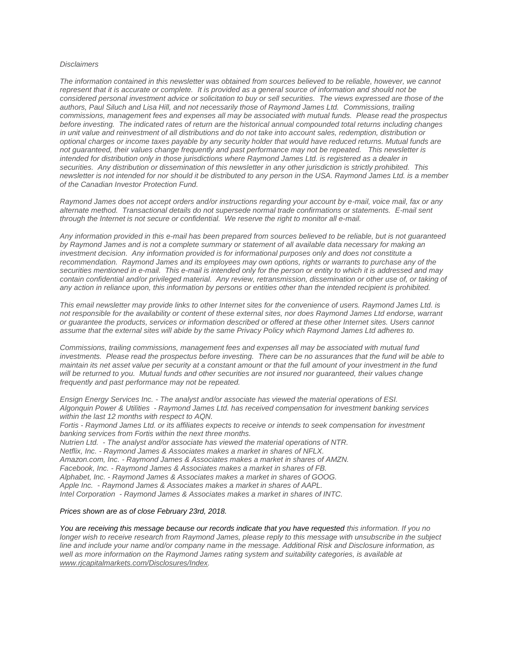#### *Disclaimers*

*[The information contained in this newsletter was obtained from sources believed to be reliable, however, we cannot](https://owa-kel.raymondjames.ca/owa/redir.aspx?SURL=z0BxOCXDlQ-Aad1f_a9igaARxm5Rd1VXE7UcmD4mZ3IZiacj7DPTCG0AYQBpAGwAdABvADoAcABhAHUAbAAuAHMAaQBsAHUAYwBoAEAAcgBhAHkAbQBvAG4AZABqAGEAbQBlAHMALgBjAGEA&URL=mailto%3apaul.siluch%40raymondjames.ca)  represent that it is accurate or complete. [It is provided as a general source of information and should not be](https://owa-kel.raymondjames.ca/owa/redir.aspx?SURL=z0BxOCXDlQ-Aad1f_a9igaARxm5Rd1VXE7UcmD4mZ3IZiacj7DPTCG0AYQBpAGwAdABvADoAcABhAHUAbAAuAHMAaQBsAHUAYwBoAEAAcgBhAHkAbQBvAG4AZABqAGEAbQBlAHMALgBjAGEA&URL=mailto%3apaul.siluch%40raymondjames.ca)  [considered personal investment advice or solicitation to buy or sell securities.](https://owa-kel.raymondjames.ca/owa/redir.aspx?SURL=z0BxOCXDlQ-Aad1f_a9igaARxm5Rd1VXE7UcmD4mZ3IZiacj7DPTCG0AYQBpAGwAdABvADoAcABhAHUAbAAuAHMAaQBsAHUAYwBoAEAAcgBhAHkAbQBvAG4AZABqAGEAbQBlAHMALgBjAGEA&URL=mailto%3apaul.siluch%40raymondjames.ca) The views expressed are those of the [authors, Paul Siluch and Lisa Hill, and not necessarily those of Raymond James Ltd.](https://owa-kel.raymondjames.ca/owa/redir.aspx?SURL=z0BxOCXDlQ-Aad1f_a9igaARxm5Rd1VXE7UcmD4mZ3IZiacj7DPTCG0AYQBpAGwAdABvADoAcABhAHUAbAAuAHMAaQBsAHUAYwBoAEAAcgBhAHkAbQBvAG4AZABqAGEAbQBlAHMALgBjAGEA&URL=mailto%3apaul.siluch%40raymondjames.ca) Commissions, trailing [commissions, management fees and expenses all may be associated with mutual funds.](https://owa-kel.raymondjames.ca/owa/redir.aspx?SURL=z0BxOCXDlQ-Aad1f_a9igaARxm5Rd1VXE7UcmD4mZ3IZiacj7DPTCG0AYQBpAGwAdABvADoAcABhAHUAbAAuAHMAaQBsAHUAYwBoAEAAcgBhAHkAbQBvAG4AZABqAGEAbQBlAHMALgBjAGEA&URL=mailto%3apaul.siluch%40raymondjames.ca) Please read the prospectus before investing. [The indicated rates of return are the historical annual compounded total returns including changes](https://owa-kel.raymondjames.ca/owa/redir.aspx?SURL=z0BxOCXDlQ-Aad1f_a9igaARxm5Rd1VXE7UcmD4mZ3IZiacj7DPTCG0AYQBpAGwAdABvADoAcABhAHUAbAAuAHMAaQBsAHUAYwBoAEAAcgBhAHkAbQBvAG4AZABqAGEAbQBlAHMALgBjAGEA&URL=mailto%3apaul.siluch%40raymondjames.ca)  [in unit value and reinvestment of all distributions and do not take into account sales, redemption, distribution or](https://owa-kel.raymondjames.ca/owa/redir.aspx?SURL=z0BxOCXDlQ-Aad1f_a9igaARxm5Rd1VXE7UcmD4mZ3IZiacj7DPTCG0AYQBpAGwAdABvADoAcABhAHUAbAAuAHMAaQBsAHUAYwBoAEAAcgBhAHkAbQBvAG4AZABqAGEAbQBlAHMALgBjAGEA&URL=mailto%3apaul.siluch%40raymondjames.ca)  [optional charges or income taxes payable by any security holder that would have reduced returns. Mutual funds are](https://owa-kel.raymondjames.ca/owa/redir.aspx?SURL=z0BxOCXDlQ-Aad1f_a9igaARxm5Rd1VXE7UcmD4mZ3IZiacj7DPTCG0AYQBpAGwAdABvADoAcABhAHUAbAAuAHMAaQBsAHUAYwBoAEAAcgBhAHkAbQBvAG4AZABqAGEAbQBlAHMALgBjAGEA&URL=mailto%3apaul.siluch%40raymondjames.ca)  [not guaranteed, their values change frequently and past performance may not be repeated.](https://owa-kel.raymondjames.ca/owa/redir.aspx?SURL=z0BxOCXDlQ-Aad1f_a9igaARxm5Rd1VXE7UcmD4mZ3IZiacj7DPTCG0AYQBpAGwAdABvADoAcABhAHUAbAAuAHMAaQBsAHUAYwBoAEAAcgBhAHkAbQBvAG4AZABqAGEAbQBlAHMALgBjAGEA&URL=mailto%3apaul.siluch%40raymondjames.ca) This newsletter is [intended for distribution only in those jurisdictions where Raymond James Ltd. is registered as a dealer in](https://owa-kel.raymondjames.ca/owa/redir.aspx?SURL=z0BxOCXDlQ-Aad1f_a9igaARxm5Rd1VXE7UcmD4mZ3IZiacj7DPTCG0AYQBpAGwAdABvADoAcABhAHUAbAAuAHMAaQBsAHUAYwBoAEAAcgBhAHkAbQBvAG4AZABqAGEAbQBlAHMALgBjAGEA&URL=mailto%3apaul.siluch%40raymondjames.ca)  securities. [Any distribution or dissemination of this newsletter in any other jurisdiction is strictly prohibited.](https://owa-kel.raymondjames.ca/owa/redir.aspx?SURL=z0BxOCXDlQ-Aad1f_a9igaARxm5Rd1VXE7UcmD4mZ3IZiacj7DPTCG0AYQBpAGwAdABvADoAcABhAHUAbAAuAHMAaQBsAHUAYwBoAEAAcgBhAHkAbQBvAG4AZABqAGEAbQBlAHMALgBjAGEA&URL=mailto%3apaul.siluch%40raymondjames.ca) This [newsletter is not intended for nor should it be distributed to any person in the USA. Raymond James Ltd. is a member](https://owa-kel.raymondjames.ca/owa/redir.aspx?SURL=z0BxOCXDlQ-Aad1f_a9igaARxm5Rd1VXE7UcmD4mZ3IZiacj7DPTCG0AYQBpAGwAdABvADoAcABhAHUAbAAuAHMAaQBsAHUAYwBoAEAAcgBhAHkAbQBvAG4AZABqAGEAbQBlAHMALgBjAGEA&URL=mailto%3apaul.siluch%40raymondjames.ca)  [of the Canadian Investor Protection Fund.](https://owa-kel.raymondjames.ca/owa/redir.aspx?SURL=z0BxOCXDlQ-Aad1f_a9igaARxm5Rd1VXE7UcmD4mZ3IZiacj7DPTCG0AYQBpAGwAdABvADoAcABhAHUAbAAuAHMAaQBsAHUAYwBoAEAAcgBhAHkAbQBvAG4AZABqAGEAbQBlAHMALgBjAGEA&URL=mailto%3apaul.siluch%40raymondjames.ca)* 

*Raymond James [does not accept orders and/or instructions regarding your account by e-mail, voice mail, fax or any](https://owa-kel.raymondjames.ca/owa/redir.aspx?SURL=z0BxOCXDlQ-Aad1f_a9igaARxm5Rd1VXE7UcmD4mZ3IZiacj7DPTCG0AYQBpAGwAdABvADoAcABhAHUAbAAuAHMAaQBsAHUAYwBoAEAAcgBhAHkAbQBvAG4AZABqAGEAbQBlAHMALgBjAGEA&URL=mailto%3apaul.siluch%40raymondjames.ca)  alternate method. [Transactional details do not supersede normal trade confirmations or statements.](https://owa-kel.raymondjames.ca/owa/redir.aspx?SURL=z0BxOCXDlQ-Aad1f_a9igaARxm5Rd1VXE7UcmD4mZ3IZiacj7DPTCG0AYQBpAGwAdABvADoAcABhAHUAbAAuAHMAaQBsAHUAYwBoAEAAcgBhAHkAbQBvAG4AZABqAGEAbQBlAHMALgBjAGEA&URL=mailto%3apaul.siluch%40raymondjames.ca) E-mail sent [through the Internet is not secure or confidential.](https://owa-kel.raymondjames.ca/owa/redir.aspx?SURL=z0BxOCXDlQ-Aad1f_a9igaARxm5Rd1VXE7UcmD4mZ3IZiacj7DPTCG0AYQBpAGwAdABvADoAcABhAHUAbAAuAHMAaQBsAHUAYwBoAEAAcgBhAHkAbQBvAG4AZABqAGEAbQBlAHMALgBjAGEA&URL=mailto%3apaul.siluch%40raymondjames.ca) We reserve the right to monitor all e-mail.*

*[Any information provided in this e-mail has been prepared from sources believed to be reliable, but is not guaranteed](https://owa-kel.raymondjames.ca/owa/redir.aspx?SURL=z0BxOCXDlQ-Aad1f_a9igaARxm5Rd1VXE7UcmD4mZ3IZiacj7DPTCG0AYQBpAGwAdABvADoAcABhAHUAbAAuAHMAaQBsAHUAYwBoAEAAcgBhAHkAbQBvAG4AZABqAGEAbQBlAHMALgBjAGEA&URL=mailto%3apaul.siluch%40raymondjames.ca)  by Raymond James [and is not a complete summary or statement of all available data necessary for making an](https://owa-kel.raymondjames.ca/owa/redir.aspx?SURL=z0BxOCXDlQ-Aad1f_a9igaARxm5Rd1VXE7UcmD4mZ3IZiacj7DPTCG0AYQBpAGwAdABvADoAcABhAHUAbAAuAHMAaQBsAHUAYwBoAEAAcgBhAHkAbQBvAG4AZABqAGEAbQBlAHMALgBjAGEA&URL=mailto%3apaul.siluch%40raymondjames.ca)  investment decision. [Any information provided is for informational purposes only and does not constitute a](https://owa-kel.raymondjames.ca/owa/redir.aspx?SURL=z0BxOCXDlQ-Aad1f_a9igaARxm5Rd1VXE7UcmD4mZ3IZiacj7DPTCG0AYQBpAGwAdABvADoAcABhAHUAbAAuAHMAaQBsAHUAYwBoAEAAcgBhAHkAbQBvAG4AZABqAGEAbQBlAHMALgBjAGEA&URL=mailto%3apaul.siluch%40raymondjames.ca)  recommendation. Raymond James [and its employees may own options, rights or warrants to purchase any of the](https://owa-kel.raymondjames.ca/owa/redir.aspx?SURL=z0BxOCXDlQ-Aad1f_a9igaARxm5Rd1VXE7UcmD4mZ3IZiacj7DPTCG0AYQBpAGwAdABvADoAcABhAHUAbAAuAHMAaQBsAHUAYwBoAEAAcgBhAHkAbQBvAG4AZABqAGEAbQBlAHMALgBjAGEA&URL=mailto%3apaul.siluch%40raymondjames.ca)  securities mentioned in e-mail. [This e-mail is intended only for the person or entity to which it is addressed and may](https://owa-kel.raymondjames.ca/owa/redir.aspx?SURL=z0BxOCXDlQ-Aad1f_a9igaARxm5Rd1VXE7UcmD4mZ3IZiacj7DPTCG0AYQBpAGwAdABvADoAcABhAHUAbAAuAHMAaQBsAHUAYwBoAEAAcgBhAHkAbQBvAG4AZABqAGEAbQBlAHMALgBjAGEA&URL=mailto%3apaul.siluch%40raymondjames.ca)  contain confidential and/or privileged material. [Any review, retransmission, dissemination or other use of, or taking of](https://owa-kel.raymondjames.ca/owa/redir.aspx?SURL=z0BxOCXDlQ-Aad1f_a9igaARxm5Rd1VXE7UcmD4mZ3IZiacj7DPTCG0AYQBpAGwAdABvADoAcABhAHUAbAAuAHMAaQBsAHUAYwBoAEAAcgBhAHkAbQBvAG4AZABqAGEAbQBlAHMALgBjAGEA&URL=mailto%3apaul.siluch%40raymondjames.ca)  [any action in reliance upon, this information by persons or entities other than the intended recipient is prohibited.](https://owa-kel.raymondjames.ca/owa/redir.aspx?SURL=z0BxOCXDlQ-Aad1f_a9igaARxm5Rd1VXE7UcmD4mZ3IZiacj7DPTCG0AYQBpAGwAdABvADoAcABhAHUAbAAuAHMAaQBsAHUAYwBoAEAAcgBhAHkAbQBvAG4AZABqAGEAbQBlAHMALgBjAGEA&URL=mailto%3apaul.siluch%40raymondjames.ca)*

*This email newsletter may provide links to other Internet sites for the convenience of users. Raymond James Ltd. is not responsible for the availability or content of these external sites, nor does Raymond James Ltd endorse, warrant or guarantee the products, services or information described or offered at these other Internet sites. Users cannot assume that the external sites will abide by the same Privacy Policy which Raymond James Ltd adheres to.*

*Commissions, trailing commissions, management fees and expenses all may be associated with mutual fund investments. Please read the prospectus before investing. There can be no assurances that the fund will be able to maintain its net asset value per security at a constant amount or that the full amount of your investment in the fund will be returned to you. Mutual funds and other securities are not insured nor guaranteed, their values change frequently and past performance may not be repeated.*

*Ensign Energy Services Inc. - The analyst and/or associate has viewed the material operations of ESI. Algonquin Power & Utilities - Raymond James Ltd. has received compensation for investment banking services within the last 12 months with respect to AQN. Fortis - Raymond James Ltd. or its affiliates expects to receive or intends to seek compensation for investment* 

*banking services from Fortis within the next three months. Nutrien Ltd. - The analyst and/or associate has viewed the material operations of NTR. Netflix, Inc. - Raymond James & Associates makes a market in shares of NFLX. Amazon.com, Inc. - Raymond James & Associates makes a market in shares of AMZN. Facebook, Inc. - Raymond James & Associates makes a market in shares of FB. Alphabet, Inc. - Raymond James & Associates makes a market in shares of GOOG. Apple Inc. - Raymond James & Associates makes a market in shares of AAPL. Intel Corporation - Raymond James & Associates makes a market in shares of INTC.*

#### *[Prices shown are as of close February 23rd, 2018.](https://owa-kel.raymondjames.ca/owa/redir.aspx?SURL=z0BxOCXDlQ-Aad1f_a9igaARxm5Rd1VXE7UcmD4mZ3IZiacj7DPTCG0AYQBpAGwAdABvADoAcABhAHUAbAAuAHMAaQBsAHUAYwBoAEAAcgBhAHkAbQBvAG4AZABqAGEAbQBlAHMALgBjAGEA&URL=mailto%3apaul.siluch%40raymondjames.ca)*

*You are receiving this message because our records indicate that you have requested this information. If you no longer wish to receive research from Raymond James, please reply to this message with unsubscribe in the subject line and include your name and/or company name in the message. Additional Risk and Disclosure information, as well as more information on the Raymond James rating system and suitability categories, is available at [www.rjcapitalmarkets.com/Disclosures/Index.](https://owa-kel.raymondjames.ca/owa/redir.aspx?SURL=xhOB4gpVfLOskwdkUL9L2f18Fq4IG2rgvMfuIIX7BlwZiacj7DPTCGgAdAB0AHAAOgAvAC8AdwB3AHcALgByAGoAYwBhAHAAaQB0AGEAbABtAGEAcgBrAGUAdABzAC4AYwBvAG0ALwBEAGkAcwBjAGwAbwBzAHUAcgBlAHMALwBJAG4AZABlAHgA&URL=http%3a%2f%2fwww.rjcapitalmarkets.com%2fDisclosures%2fIndex)*